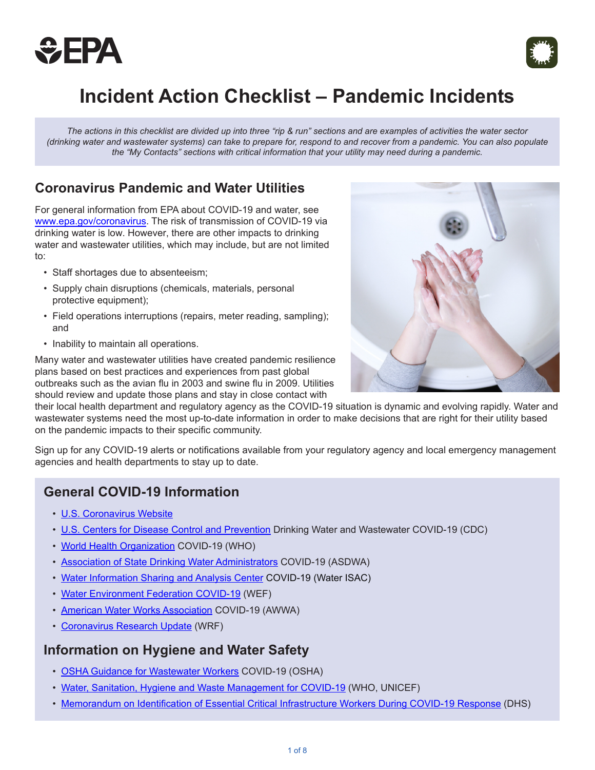



# **Incident Action Checklist – Pandemic Incidents**

*The actions in this checklist are divided up into three "rip & run" sections and are examples of activities the water sector (drinking water and wastewater systems) can take to prepare for, respond to and recover from a pandemic. You can also populate the "My Contacts" sections with critical information that your utility may need during a pandemic.*

### **Coronavirus Pandemic and Water Utilities**

For general information from EPA about COVID-19 and water, see [www.epa.gov/coronavirus](http://www.epa.gov/coronavirus). The risk of transmission of COVID-19 via drinking water is low. However, there are other impacts to drinking water and wastewater utilities, which may include, but are not limited to:

- Staff shortages due to absenteeism;
- Supply chain disruptions (chemicals, materials, personal protective equipment);
- Field operations interruptions (repairs, meter reading, sampling); and
- Inability to maintain all operations.

Many water and wastewater utilities have created pandemic resilience plans based on best practices and experiences from past global outbreaks such as the avian flu in 2003 and swine flu in 2009. Utilities should review and update those plans and stay in close contact with



their local health department and regulatory agency as the COVID-19 situation is dynamic and evolving rapidly. Water and wastewater systems need the most up-to-date information in order to make decisions that are right for their utility based on the pandemic impacts to their specific community.

Sign up for any COVID-19 alerts or notifications available from your regulatory agency and local emergency management agencies and health departments to stay up to date.

### **General COVID-19 Information**

- [U.S. Coronavirus Website](https://www.coronavirus.gov/)
- [U.S. Centers for Disease Control and Prevention](https://www.cdc.gov/coronavirus/2019-ncov/php/water.html) Drinking Water and Wastewater COVID-19 (CDC)
- [World Health Organization](https://www.who.int/emergencies/diseases/novel-coronavirus-2019) COVID-19 (WHO)
- [Association of State Drinking Water Administrators](https://www.asdwa.org/covid19/) COVID-19 (ASDWA)
- [Water Information Sharing and Analysis Center](https://www.waterisac.org/portal/coronavirus-outbreak-updated-february-25-2020) COVID-19 (Water ISAC)
- [Water Environment Federation COVID-19](https://wef.org/coronavirus) (WEF)
- [American Water Works Association](https://www.awwa.org/Resources-Tools/Resource-Topics/Coronavirus) COVID-19 (AWWA)
- [Coronavirus Research Update](https://www.waterrf.org/event/coronavirus-research-update) (WRF)

### **Information on Hygiene and Water Safety**

- [OSHA Guidance for Wastewater Workers](https://www.osha.gov/SLTC/covid-19/controlprevention.html#solidwaste) COVID-19 (OSHA)
- [Water, Sanitation, Hygiene and Waste Management for COVID-19](https://www.who.int/publications-detail/water-sanitation-hygiene-and-waste-management-for-covid-19) (WHO, UNICEF)
- [Memorandum](https://www.cisa.gov/sites/default/files/publications/CISA-Guidance-on-Essential-Critical-Infrastructure-Workers-1-20-508c.pdf) on Identification of Essential Critical Infrastructure Workers During COVID-19 Response (DHS)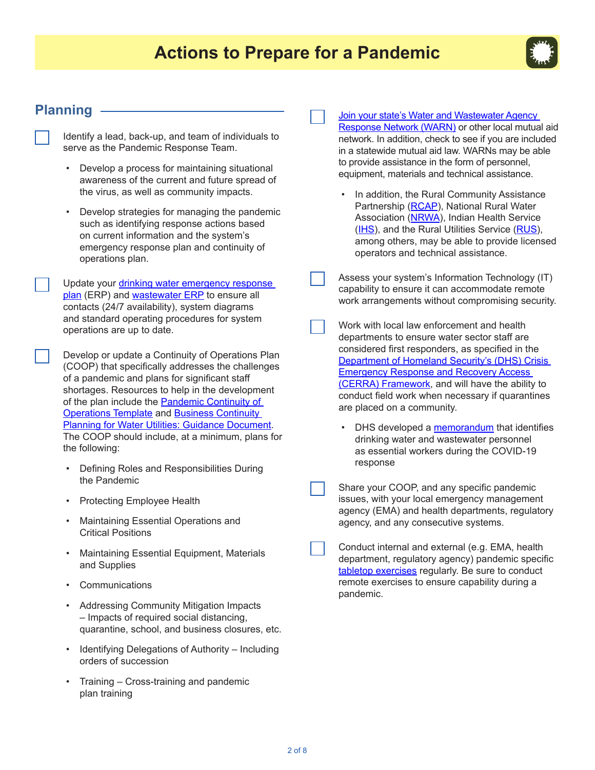

### **Planning**

Identify a lead, back-up, and team of individuals to serve as the Pandemic Response Team.

- • Develop a process for maintaining situational awareness of the current and future spread of the virus, as well as community impacts.
- • Develop strategies for managing the pandemic such as identifying response actions based on current information and the system's emergency response plan and continuity of operations plan.
- Update your drinking water emergency response [plan](https://www.epa.gov/waterutilityresponse/develop-or-update-drinking-water-utility-emergency-response-plan) (ERP) and [wastewater ERP](http://www.rcapsolutions.org/wp-content/uploads/2013/06/Emergency-Response-Planning-Template-for-Public-Wastewater-S.pdf) to ensure all contacts (24/7 availability), system diagrams and standard operating procedures for system operations are up to date.

Develop or update a Continuity of Operations Plan (COOP) that specifically addresses the challenges of a pandemic and plans for significant staff shortages. Resources to help in the development of the plan include the [Pandemic Continuity of](https://www.glcap.org/media/2569/pandemic-continuity-of-operations-plan-template.pdf)  [Operations Template](https://www.glcap.org/media/2569/pandemic-continuity-of-operations-plan-template.pdf) and [Business Continuity](https://www.waterisac.org/system/files/Business Continuity Planning for Water Utilities.pdf)  [Planning for Water Utilities: Guidance Document](https://www.waterisac.org/system/files/Business Continuity Planning for Water Utilities.pdf). The COOP should include, at a minimum, plans for the following:

- • Defining Roles and Responsibilities During the Pandemic
- • Protecting Employee Health
- **Maintaining Essential Operations and** Critical Positions
- • Maintaining Essential Equipment, Materials and Supplies
- **Communications**
- • Addressing Community Mitigation Impacts – Impacts of required social distancing, quarantine, school, and business closures, etc.
- Identifying Delegations of Authority Including orders of succession
- Training Cross-training and pandemic plan training

[Join your state's Water and Wastewater Agency](https://www.epa.gov/waterutilityresponse/mutual-aid-and-assistance-drinking-water-and-wastewater-utilities#2)  [Response Network \(WARN\)](https://www.epa.gov/waterutilityresponse/mutual-aid-and-assistance-drinking-water-and-wastewater-utilities#2) or other local mutual aid network. In addition, check to see if you are included in a statewide mutual aid law. WARNs may be able to provide assistance in the form of personnel, equipment, materials and technical assistance.

- In addition, the Rural Community Assistance Partnership ([RCAP\)](https://www.rcap.org/), National Rural Water Association ([NRWA\)](https://nrwa.org/state-associations), Indian Health Service ([IHS\)](https://www.ihs.gov/), and the Rural Utilities Service ([RUS\)](https://www.rd.usda.gov/about-rd/agencies/rural-utilities-service), among others, may be able to provide licensed operators and technical assistance.
- Assess your system's Information Technology (IT) capability to ensure it can accommodate remote work arrangements without compromising security.
- Work with local law enforcement and health departments to ensure water sector staff are considered first responders, as specified in the [Department of Homeland Security's \(DHS\) Crisis](https://www.cisa.gov/sites/default/files/publications/Crisis Event Response and Recovery Access %28CERRA%29 Framework.pdf)  [Emergency Response and Recovery Access](https://www.cisa.gov/sites/default/files/publications/Crisis Event Response and Recovery Access %28CERRA%29 Framework.pdf)  [\(CERRA\) Framework,](https://www.cisa.gov/sites/default/files/publications/Crisis Event Response and Recovery Access %28CERRA%29 Framework.pdf) and will have the ability to conduct field work when necessary if quarantines are placed on a community.
	- DHS developed a [memorandum](https://www.cisa.gov/sites/default/files/publications/CISA-Guidance-on-Essential-Critical-Infrastructure-Workers-1-20-508c.pdf) that identifies drinking water and wastewater personnel as essential workers during the COVID-19 response
- Share your COOP, and any specific pandemic issues, with your local emergency management agency (EMA) and health departments, regulatory agency, and any consecutive systems.
- Conduct internal and external (e.g. EMA, health department, regulatory agency) pandemic specific [tabletop exercises](https://www.epa.gov/waterresiliencetraining/develop-and-conduct-water-resilience-tabletop-exercise-water-utilities) regularly. Be sure to conduct remote exercises to ensure capability during a pandemic.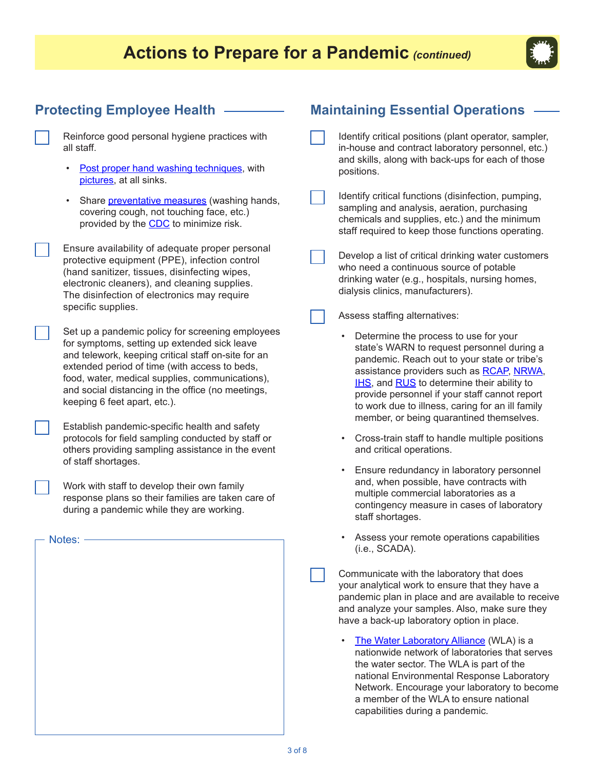## **Actions to Prepare for a Pandemic** *(continued)*



### **Protecting Employee Health**

- Reinforce good personal hygiene practices with all staff.
	- [Post proper hand washing techniques](https://www.cdc.gov/handwashing/index.html), with [pictures](https://www.cdcc.gov/handwashing/materials.html), at all sinks.
	- Share *preventative measures* (washing hands, covering cough, not touching face, etc.) provided by the **CDC** to minimize risk.

Ensure availability of adequate proper personal protective equipment (PPE), infection control (hand sanitizer, tissues, disinfecting wipes, electronic cleaners), and cleaning supplies. The disinfection of electronics may require specific supplies.

Set up a pandemic policy for screening employees for symptoms, setting up extended sick leave and telework, keeping critical staff on-site for an extended period of time (with access to beds, food, water, medical supplies, communications), and social distancing in the office (no meetings, keeping 6 feet apart, etc.).

Establish pandemic-specific health and safety protocols for field sampling conducted by staff or others providing sampling assistance in the event of staff shortages.

Work with staff to develop their own family response plans so their families are taken care of during a pandemic while they are working.

### **Maintaining Essential Operations**

- Identify critical positions (plant operator, sampler, in-house and contract laboratory personnel, etc.) and skills, along with back-ups for each of those positions.
- Identify critical functions (disinfection, pumping, sampling and analysis, aeration, purchasing chemicals and supplies, etc.) and the minimum staff required to keep those functions operating.
- Develop a list of critical drinking water customers who need a continuous source of potable drinking water (e.g., hospitals, nursing homes, dialysis clinics, manufacturers).

Assess staffing alternatives:

- Determine the process to use for your state's WARN to request personnel during a pandemic. Reach out to your state or tribe's assistance providers such as [RCAP](https://www.rcap.org/), [NRWA,](https://nrwa.org/state-associations) [IHS](https://www.ihs.gov/), and [RUS](https://www.rd.usda.gov/about-rd/agencies/rural-utilities-service) to determine their ability to provide personnel if your staff cannot report to work due to illness, caring for an ill family member, or being quarantined themselves.
- Cross-train staff to handle multiple positions and critical operations.
- Ensure redundancy in laboratory personnel and, when possible, have contracts with multiple commercial laboratories as a contingency measure in cases of laboratory staff shortages.
- Assess your remote operations capabilities (i.e., SCADA).

Communicate with the laboratory that does your analytical work to ensure that they have a pandemic plan in place and are available to receive and analyze your samples. Also, make sure they have a back-up laboratory option in place.

[The Water Laboratory Alliance](https://www.epa.gov/waterlabnetwork) (WLA) is a nationwide network of laboratories that serves the water sector. The WLA is part of the national Environmental Response Laboratory Network. Encourage your laboratory to become a member of the WLA to ensure national capabilities during a pandemic.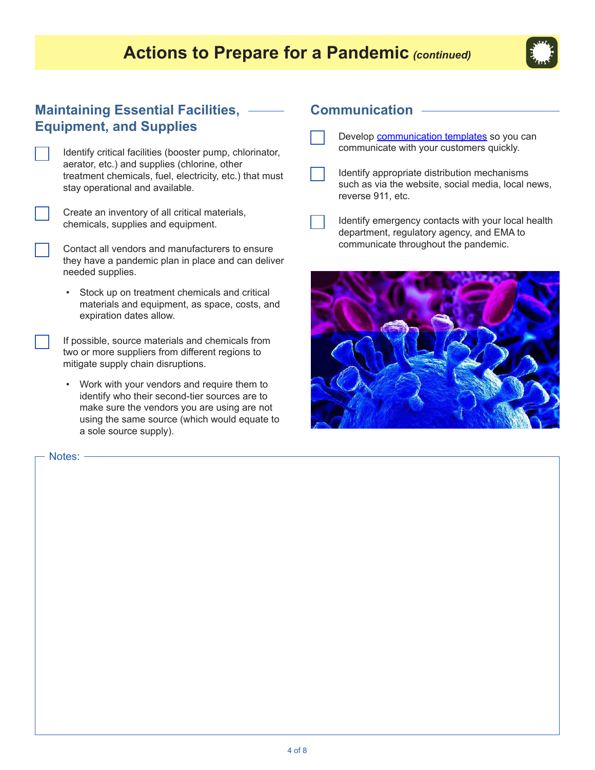### **Actions to Prepare for a Pandemic** *(continued)*



### **Maintaining Essential Facilities, Equipment, and Supplies**

| Identify critical facilities (booster pump, chlorinator, |
|----------------------------------------------------------|
| aerator, etc.) and supplies (chlorine, other             |
| treatment chemicals, fuel, electricity, etc.) that must  |
| stay operational and available.                          |

Create an inventory of all critical materials, chemicals, supplies and equipment.

Contact all vendors and manufacturers to ensure they have a pandemic plan in place and can deliver needed supplies.

• Stock up on treatment chemicals and critical materials and equipment, as space, costs, and expiration dates allow.

If possible, source materials and chemicals from two or more suppliers from different regions to mitigate supply chain disruptions.

• Work with your vendors and require them to identify who their second-tier sources are to make sure the vendors you are using are not using the same source (which would equate to a sole source supply).

Notes: -

### **Communication**

- Develop **[communication templates](https://www.epa.gov/waterutilityresponse/water-utility-communication-during-emergency-response)** so you can communicate with your customers quickly.
- Identify appropriate distribution mechanisms such as via the website, social media, local news, reverse 911, etc.

Identify emergency contacts with your local health department, regulatory agency, and EMA to communicate throughout the pandemic.

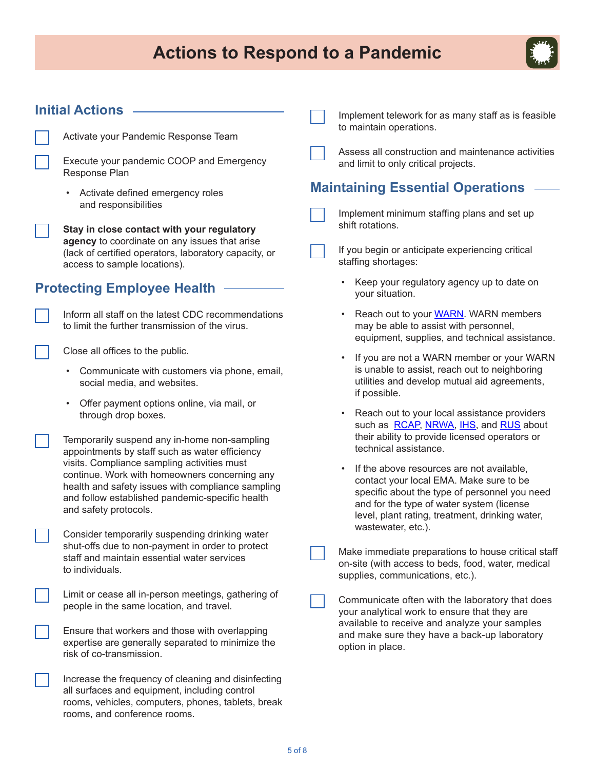# **Actions to Respond to a Pandemic**



#### **Initial Actions** Activate your Pandemic Response Team Execute your pandemic COOP and Emergency Response Plan • Activate defined emergency roles and responsibilities **Stay in close contact with your regulatory agency** to coordinate on any issues that arise (lack of certified operators, laboratory capacity, or access to sample locations). **Protecting Employee Health** Inform all staff on the latest CDC recommendations to limit the further transmission of the virus. Close all offices to the public. • Communicate with customers via phone, email, social media, and websites. • Offer payment options online, via mail, or through drop boxes. Temporarily suspend any in-home non-sampling appointments by staff such as water efficiency visits. Compliance sampling activities must continue. Work with homeowners concerning any health and safety issues with compliance sampling and follow established pandemic-specific health and safety protocols. Consider temporarily suspending drinking water shut-offs due to non-payment in order to protect staff and maintain essential water services to individuals. Limit or cease all in-person meetings, gathering of people in the same location, and travel. Ensure that workers and those with overlapping expertise are generally separated to minimize the risk of co-transmission. Increase the frequency of cleaning and disinfecting all surfaces and equipment, including control rooms, vehicles, computers, phones, tablets, break rooms, and conference rooms. Implement telework for as many staff as is feasible to maintain operations. Assess all construction and maintenance activities and limit to only critical projects. **Maintaining Essential Operations** Implement minimum staffing plans and set up shift rotations. If you begin or anticipate experiencing critical staffing shortages: Keep your regulatory agency up to date on your situation. Reach out to your **[WARN](http://www.epa.gov/waterutilityresponse/mutual-aid-and-assistance-drinking-water-and-wastewater-utilities#2)**. WARN members may be able to assist with personnel, equipment, supplies, and technical assistance. If you are not a WARN member or your WARN is unable to assist, reach out to neighboring utilities and develop mutual aid agreements, if possible. Reach out to your local assistance providers such as [RCAP](https://www.rcap.org/), [NRWA,](https://nrwa.org/state-associations) [IHS,](https://www.ihs.gov/) and [RUS](https://www.rd.usda.gov/about-rd/agencies/rural-utilities-service) about their ability to provide licensed operators or technical assistance. If the above resources are not available, contact your local EMA. Make sure to be specific about the type of personnel you need and for the type of water system (license level, plant rating, treatment, drinking water, wastewater, etc.). Make immediate preparations to house critical staff on-site (with access to beds, food, water, medical supplies, communications, etc.). Communicate often with the laboratory that does your analytical work to ensure that they are available to receive and analyze your samples and make sure they have a back-up laboratory option in place.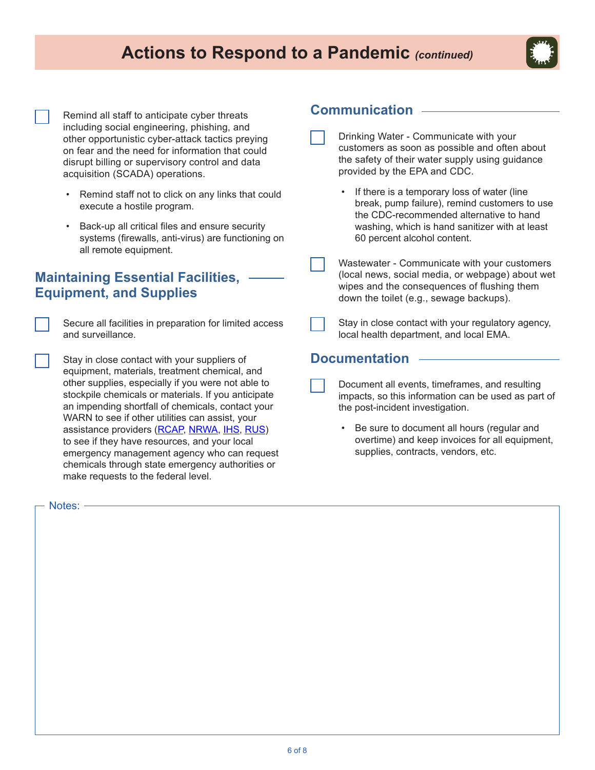### **Actions to Respond to a Pandemic** *(continued)*



Remind all staff to anticipate cyber threats including social engineering, phishing, and other opportunistic cyber-attack tactics preying on fear and the need for information that could disrupt billing or supervisory control and data acquisition (SCADA) operations.

- Remind staff not to click on any links that could execute a hostile program.
- • Back-up all critical files and ensure security systems (firewalls, anti-virus) are functioning on all remote equipment.

### **Maintaining Essential Facilities, Equipment, and Supplies**

Secure all facilities in preparation for limited access and surveillance.

Stay in close contact with your suppliers of equipment, materials, treatment chemical, and other supplies, especially if you were not able to stockpile chemicals or materials. If you anticipate an impending shortfall of chemicals, contact your WARN to see if other utilities can assist, your assistance providers [\(RCAP,](https://www.rcap.org/) [NRWA](https://nrwa.org/state-associations), [IHS,](https://www.ihs.gov/) [RUS](https://www.rd.usda.gov/about-rd/agencies/rural-utilities-service)) to see if they have resources, and your local emergency management agency who can request chemicals through state emergency authorities or make requests to the federal level.

#### Notes:

### **Communication**

- Drinking Water Communicate with your customers as soon as possible and often about the safety of their water supply using guidance provided by the EPA and CDC.
	- If there is a temporary loss of water (line break, pump failure), remind customers to use the CDC-recommended alternative to hand washing, which is hand sanitizer with at least 60 percent alcohol content.
	- Wastewater Communicate with your customers (local news, social media, or webpage) about wet wipes and the consequences of flushing them down the toilet (e.g., sewage backups).
	- Stay in close contact with your regulatory agency, local health department, and local EMA.

#### **Documentation**

- Document all events, timeframes, and resulting impacts, so this information can be used as part of the post-incident investigation.
	- Be sure to document all hours (regular and overtime) and keep invoices for all equipment, supplies, contracts, vendors, etc.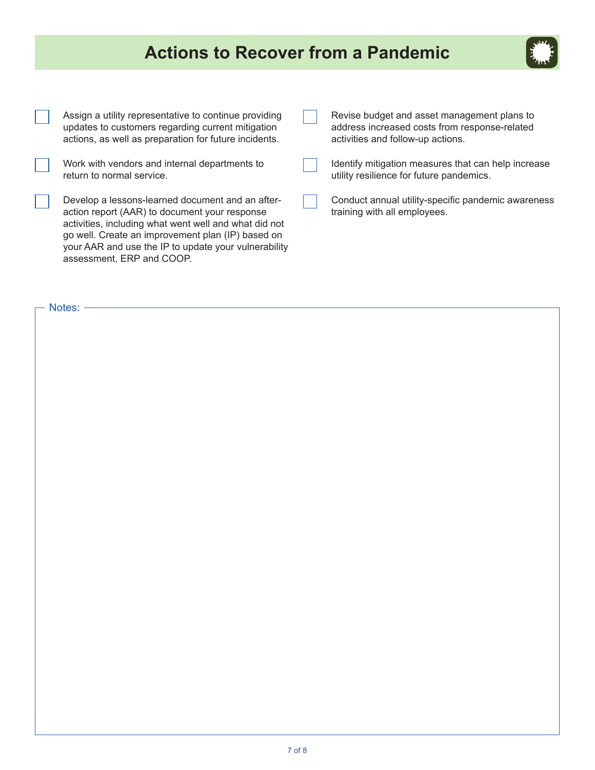# **Actions to Recover from a Pandemic**



| Assign a utility representative to continue providing<br>updates to customers regarding current mitigation<br>actions, as well as preparation for future incidents.                                                                                                                                  | Revise budget and asset management plans to<br>address increased costs from response-related<br>activities and follow-up actions. |
|------------------------------------------------------------------------------------------------------------------------------------------------------------------------------------------------------------------------------------------------------------------------------------------------------|-----------------------------------------------------------------------------------------------------------------------------------|
| Work with vendors and internal departments to<br>return to normal service.                                                                                                                                                                                                                           | Identify mitigation measures that can help increase<br>utility resilience for future pandemics.                                   |
| Develop a lessons-learned document and an after-<br>action report (AAR) to document your response<br>activities, including what went well and what did not<br>go well. Create an improvement plan (IP) based on<br>your AAR and use the IP to update your vulnerability<br>assessment, ERP and COOP. | Conduct annual utility-specific pandemic awareness<br>training with all employees.                                                |

- Notes: -